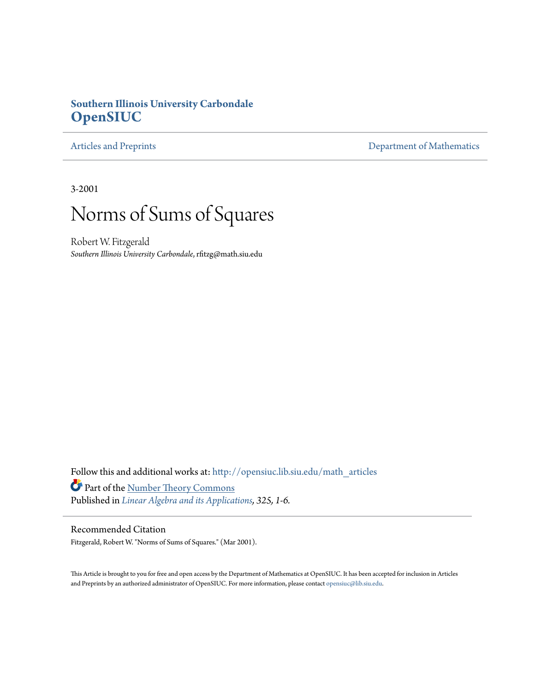# **Southern Illinois University Carbondale [OpenSIUC](http://opensiuc.lib.siu.edu?utm_source=opensiuc.lib.siu.edu%2Fmath_articles%2F28&utm_medium=PDF&utm_campaign=PDFCoverPages)**

[Articles and Preprints](http://opensiuc.lib.siu.edu/math_articles?utm_source=opensiuc.lib.siu.edu%2Fmath_articles%2F28&utm_medium=PDF&utm_campaign=PDFCoverPages) **[Department of Mathematics](http://opensiuc.lib.siu.edu/math?utm_source=opensiuc.lib.siu.edu%2Fmath_articles%2F28&utm_medium=PDF&utm_campaign=PDFCoverPages)** 

3-2001

# Norms of Sums of Squares

Robert W. Fitzgerald *Southern Illinois University Carbondale*, rfitzg@math.siu.edu

Follow this and additional works at: [http://opensiuc.lib.siu.edu/math\\_articles](http://opensiuc.lib.siu.edu/math_articles?utm_source=opensiuc.lib.siu.edu%2Fmath_articles%2F28&utm_medium=PDF&utm_campaign=PDFCoverPages) Part of the [Number Theory Commons](http://network.bepress.com/hgg/discipline/183?utm_source=opensiuc.lib.siu.edu%2Fmath_articles%2F28&utm_medium=PDF&utm_campaign=PDFCoverPages) Published in *[Linear Algebra and its Applications,](http://www.elsevier.com/wps/find/journaldescription.cws_home/522483/description#description) 325, 1-6.*

# Recommended Citation

Fitzgerald, Robert W. "Norms of Sums of Squares." (Mar 2001).

This Article is brought to you for free and open access by the Department of Mathematics at OpenSIUC. It has been accepted for inclusion in Articles and Preprints by an authorized administrator of OpenSIUC. For more information, please contact [opensiuc@lib.siu.edu](mailto:opensiuc@lib.siu.edu).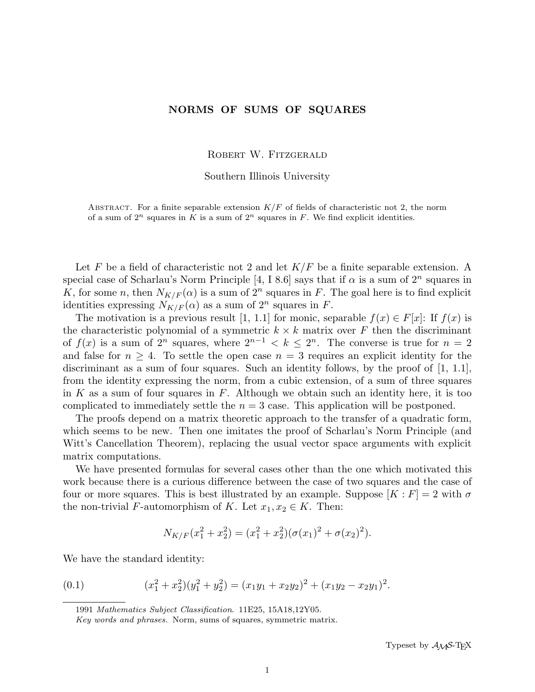# NORMS OF SUMS OF SQUARES

ROBERT W. FITZGERALD

Southern Illinois University

ABSTRACT. For a finite separable extension  $K/F$  of fields of characteristic not 2, the norm of a sum of  $2^n$  squares in K is a sum of  $2^n$  squares in F. We find explicit identities.

Let F be a field of characteristic not 2 and let  $K/F$  be a finite separable extension. A special case of Scharlau's Norm Principle [4, I 8.6] says that if  $\alpha$  is a sum of  $2^n$  squares in K, for some n, then  $N_{K/F}(\alpha)$  is a sum of  $2^n$  squares in F. The goal here is to find explicit identities expressing  $N_{K/F}(\alpha)$  as a sum of  $2^n$  squares in F.

The motivation is a previous result [1, 1.1] for monic, separable  $f(x) \in F[x]$ : If  $f(x)$  is the characteristic polynomial of a symmetric  $k \times k$  matrix over F then the discriminant of  $f(x)$  is a sum of  $2^n$  squares, where  $2^{n-1} < k \leq 2^n$ . The converse is true for  $n = 2$ and false for  $n \geq 4$ . To settle the open case  $n = 3$  requires an explicit identity for the discriminant as a sum of four squares. Such an identity follows, by the proof of [1, 1.1], from the identity expressing the norm, from a cubic extension, of a sum of three squares in K as a sum of four squares in F. Although we obtain such an identity here, it is too complicated to immediately settle the  $n = 3$  case. This application will be postponed.

The proofs depend on a matrix theoretic approach to the transfer of a quadratic form, which seems to be new. Then one imitates the proof of Scharlau's Norm Principle (and Witt's Cancellation Theorem), replacing the usual vector space arguments with explicit matrix computations.

We have presented formulas for several cases other than the one which motivated this work because there is a curious difference between the case of two squares and the case of four or more squares. This is best illustrated by an example. Suppose  $[K : F] = 2$  with  $\sigma$ the non-trivial F-automorphism of K. Let  $x_1, x_2 \in K$ . Then:

$$
N_{K/F}(x_1^2 + x_2^2) = (x_1^2 + x_2^2)(\sigma(x_1)^2 + \sigma(x_2)^2).
$$

We have the standard identity:

(0.1) 
$$
(x_1^2 + x_2^2)(y_1^2 + y_2^2) = (x_1y_1 + x_2y_2)^2 + (x_1y_2 - x_2y_1)^2.
$$

1991 Mathematics Subject Classification. 11E25, 15A18,12Y05.

Key words and phrases. Norm, sums of squares, symmetric matrix.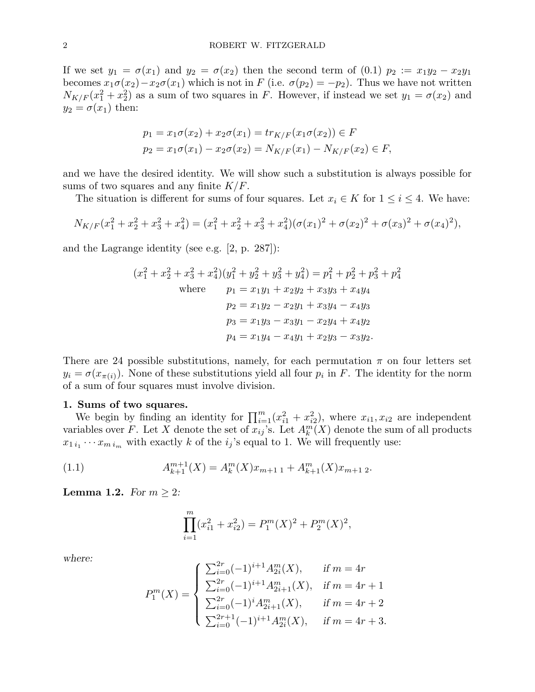If we set  $y_1 = \sigma(x_1)$  and  $y_2 = \sigma(x_2)$  then the second term of (0.1)  $p_2 := x_1y_2 - x_2y_1$ becomes  $x_1\sigma(x_2)-x_2\sigma(x_1)$  which is not in F (i.e.  $\sigma(p_2) = -p_2$ ). Thus we have not written  $N_{K/F}(x_1^2 + x_2^2)$  as a sum of two squares in F. However, if instead we set  $y_1 = \sigma(x_2)$  and  $y_2 = \sigma(x_1)$  then:

$$
p_1 = x_1 \sigma(x_2) + x_2 \sigma(x_1) = tr_{K/F}(x_1 \sigma(x_2)) \in F
$$
  

$$
p_2 = x_1 \sigma(x_1) - x_2 \sigma(x_2) = N_{K/F}(x_1) - N_{K/F}(x_2) \in F,
$$

and we have the desired identity. We will show such a substitution is always possible for sums of two squares and any finite  $K/F$ .

The situation is different for sums of four squares. Let  $x_i \in K$  for  $1 \leq i \leq 4$ . We have:

$$
N_{K/F}(x_1^2 + x_2^2 + x_3^2 + x_4^2) = (x_1^2 + x_2^2 + x_3^2 + x_4^2)(\sigma(x_1)^2 + \sigma(x_2)^2 + \sigma(x_3)^2 + \sigma(x_4)^2),
$$

and the Lagrange identity (see e.g. [2, p. 287]):

$$
(x_1^2 + x_2^2 + x_3^2 + x_4^2)(y_1^2 + y_2^2 + y_3^2 + y_4^2) = p_1^2 + p_2^2 + p_3^2 + p_4^2
$$
  
where  $p_1 = x_1y_1 + x_2y_2 + x_3y_3 + x_4y_4$   
 $p_2 = x_1y_2 - x_2y_1 + x_3y_4 - x_4y_3$   
 $p_3 = x_1y_3 - x_3y_1 - x_2y_4 + x_4y_2$   
 $p_4 = x_1y_4 - x_4y_1 + x_2y_3 - x_3y_2.$ 

There are 24 possible substitutions, namely, for each permutation  $\pi$  on four letters set  $y_i = \sigma(x_{\pi(i)})$ . None of these substitutions yield all four  $p_i$  in F. The identity for the norm of a sum of four squares must involve division.

#### 1. Sums of two squares.

Sums of two squares.<br>We begin by finding an identity for  $\prod_{i=1}^{m} (x_{i1}^2 + x_{i2}^2)$ , where  $x_{i1}, x_{i2}$  are independent variables over F. Let X denote the set of  $x_{ij}$ 's. Let  $A_k^m(X)$  denote the sum of all products  $x_{1 i_1} \cdots x_{m i_m}$  with exactly k of the  $i_j$ 's equal to 1. We will frequently use:

(1.1) 
$$
A_{k+1}^{m+1}(X) = A_k^m(X)x_{m+1,1} + A_{k+1}^m(X)x_{m+1,2}.
$$

**Lemma 1.2.** For  $m \geq 2$ :

$$
\prod_{i=1}^{m} (x_{i1}^2 + x_{i2}^2) = P_1^m(X)^2 + P_2^m(X)^2,
$$

where:

$$
P_1^m(X) = \begin{cases} \sum_{i=0}^{2r} (-1)^{i+1} A_{2i}^m(X), & \text{if } m = 4r \\ \sum_{i=0}^{2r} (-1)^{i+1} A_{2i+1}^m(X), & \text{if } m = 4r+1 \\ \sum_{i=0}^{2r} (-1)^i A_{2i+1}^m(X), & \text{if } m = 4r+2 \\ \sum_{i=0}^{2r+1} (-1)^{i+1} A_{2i}^m(X), & \text{if } m = 4r+3. \end{cases}
$$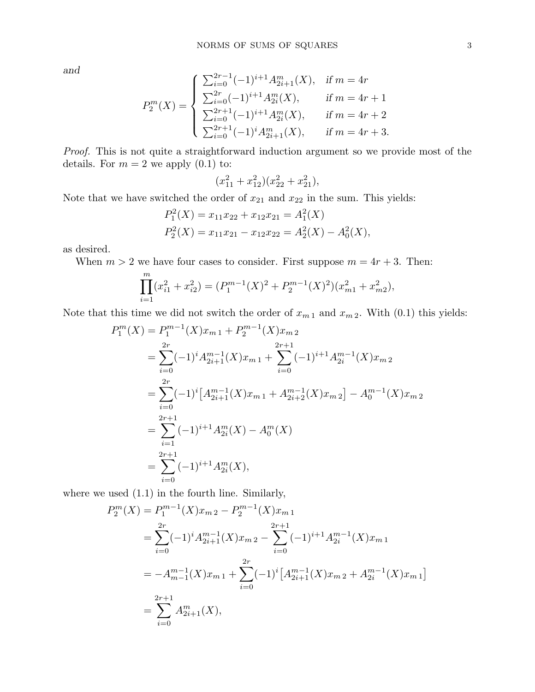and

$$
P_2^m(X) = \begin{cases} \sum_{i=0}^{2r-1} (-1)^{i+1} A_{2i+1}^m(X), & \text{if } m = 4r \\ \sum_{i=0}^{2r} (-1)^{i+1} A_{2i}^m(X), & \text{if } m = 4r+1 \\ \sum_{i=0}^{2r+1} (-1)^{i+1} A_{2i}^m(X), & \text{if } m = 4r+2 \\ \sum_{i=0}^{2r+1} (-1)^i A_{2i+1}^m(X), & \text{if } m = 4r+3. \end{cases}
$$

Proof. This is not quite a straightforward induction argument so we provide most of the details. For  $m = 2$  we apply  $(0.1)$  to:

$$
(x_{11}^2 + x_{12}^2)(x_{22}^2 + x_{21}^2),
$$

Note that we have switched the order of  $x_{21}$  and  $x_{22}$  in the sum. This yields:

$$
P_1^2(X) = x_{11}x_{22} + x_{12}x_{21} = A_1^2(X)
$$
  

$$
P_2^2(X) = x_{11}x_{21} - x_{12}x_{22} = A_2^2(X) - A_0^2(X),
$$

as desired.

When  $m > 2$  we have four cases to consider. First suppose  $m = 4r + 3$ . Then:

$$
\prod_{i=1}^{m} (x_{i1}^2 + x_{i2}^2) = (P_1^{m-1}(X)^2 + P_2^{m-1}(X)^2)(x_{m1}^2 + x_{m2}^2),
$$

Note that this time we did not switch the order of  $x_{m 1}$  and  $x_{m 2}$ . With (0.1) this yields:

$$
P_1^m(X) = P_1^{m-1}(X)x_{m1} + P_2^{m-1}(X)x_{m2}
$$
  
= 
$$
\sum_{i=0}^{2r} (-1)^i A_{2i+1}^{m-1}(X)x_{m1} + \sum_{i=0}^{2r+1} (-1)^{i+1} A_{2i}^{m-1}(X)x_{m2}
$$
  
= 
$$
\sum_{i=0}^{2r} (-1)^i [A_{2i+1}^{m-1}(X)x_{m1} + A_{2i+2}^{m-1}(X)x_{m2}] - A_0^{m-1}(X)x_{m2}
$$
  
= 
$$
\sum_{i=1}^{2r+1} (-1)^{i+1} A_{2i}^m(X) - A_0^m(X)
$$
  
= 
$$
\sum_{i=0}^{2r+1} (-1)^{i+1} A_{2i}^m(X),
$$

where we used  $(1.1)$  in the fourth line. Similarly,

$$
P_2^m(X) = P_1^{m-1}(X)x_{m2} - P_2^{m-1}(X)x_{m1}
$$
  
= 
$$
\sum_{i=0}^{2r} (-1)^i A_{2i+1}^{m-1}(X)x_{m2} - \sum_{i=0}^{2r+1} (-1)^{i+1} A_{2i}^{m-1}(X)x_{m1}
$$
  
= 
$$
-A_{m-1}^{m-1}(X)x_{m1} + \sum_{i=0}^{2r} (-1)^i [A_{2i+1}^{m-1}(X)x_{m2} + A_{2i}^{m-1}(X)x_{m1}]
$$
  
= 
$$
\sum_{i=0}^{2r+1} A_{2i+1}^m(X),
$$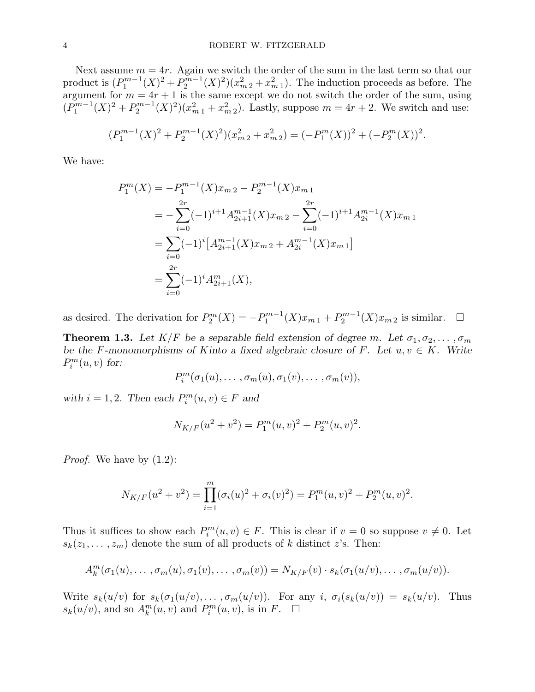Next assume  $m = 4r$ . Again we switch the order of the sum in the last term so that our product is  $(P_1^{m-1})$  $P_1^{m-1}(X)^2 + P_2^{m-1}$  $2^{m-1}(X)^2(x_{m2}^2+x_{m1}^2)$ . The induction proceeds as before. The argument for  $m = 4r + 1$  is the same except we do not switch the order of the sum, using  $(P_1^{m-1})$  $P_1^{m-1}(X)^2 + P_2^{m-1}$  $2^{m-1}(X)^2(x_{m1}^2 + x_{m2}^2)$ . Lastly, suppose  $m = 4r + 2$ . We switch and use:

$$
(P_1^{m-1}(X)^2 + P_2^{m-1}(X)^2)(x_{m2}^2 + x_{m2}^2) = (-P_1^m(X))^2 + (-P_2^m(X))^2.
$$

We have:

$$
P_1^m(X) = -P_1^{m-1}(X)x_{m2} - P_2^{m-1}(X)x_{m1}
$$
  
= 
$$
-\sum_{i=0}^{2r} (-1)^{i+1} A_{2i+1}^{m-1}(X)x_{m2} - \sum_{i=0}^{2r} (-1)^{i+1} A_{2i}^{m-1}(X)x_{m1}
$$
  
= 
$$
\sum_{i=0}^{\infty} (-1)^i [A_{2i+1}^{m-1}(X)x_{m2} + A_{2i}^{m-1}(X)x_{m1}]
$$
  
= 
$$
\sum_{i=0}^{2r} (-1)^i A_{2i+1}^m(X),
$$

as desired. The derivation for  $P_2^m(X) = -P_1^{m-1}$  $P_1^{m-1}(X)x_{m,1}+P_2^{m-1}$  $2^{m-1}(X)x_{m,2}$  is similar.  $\square$ 

**Theorem 1.3.** Let  $K/F$  be a separable field extension of degree m. Let  $\sigma_1, \sigma_2, \ldots, \sigma_m$ be the F-monomorphisms of Kinto a fixed algebraic closure of F. Let  $u, v \in K$ . Write  $P_i^m(u, v)$  for:

$$
P_i^m(\sigma_1(u),\ldots,\sigma_m(u),\sigma_1(v),\ldots,\sigma_m(v)),
$$

with  $i = 1, 2$ . Then each  $P_i^m(u, v) \in F$  and

$$
N_{K/F}(u^{2} + v^{2}) = P_{1}^{m}(u, v)^{2} + P_{2}^{m}(u, v)^{2}.
$$

*Proof.* We have by  $(1.2)$ :

$$
N_{K/F}(u^{2} + v^{2}) = \prod_{i=1}^{m} (\sigma_{i}(u)^{2} + \sigma_{i}(v)^{2}) = P_{1}^{m}(u, v)^{2} + P_{2}^{m}(u, v)^{2}.
$$

Thus it suffices to show each  $P_i^m(u, v) \in F$ . This is clear if  $v = 0$  so suppose  $v \neq 0$ . Let  $s_k(z_1, \ldots, z_m)$  denote the sum of all products of k distinct z's. Then:

$$
A_k^m(\sigma_1(u),\ldots,\sigma_m(u),\sigma_1(v),\ldots,\sigma_m(v))=N_{K/F}(v)\cdot s_k(\sigma_1(u/v),\ldots,\sigma_m(u/v)).
$$

Write  $s_k(u/v)$  for  $s_k(\sigma_1(u/v), \ldots, \sigma_m(u/v))$ . For any  $i, \sigma_i(s_k(u/v)) = s_k(u/v)$ . Thus  $s_k(u/v)$ , and so  $A_k^m(u, v)$  and  $P_i^m(u, v)$ , is in  $F$ .  $\Box$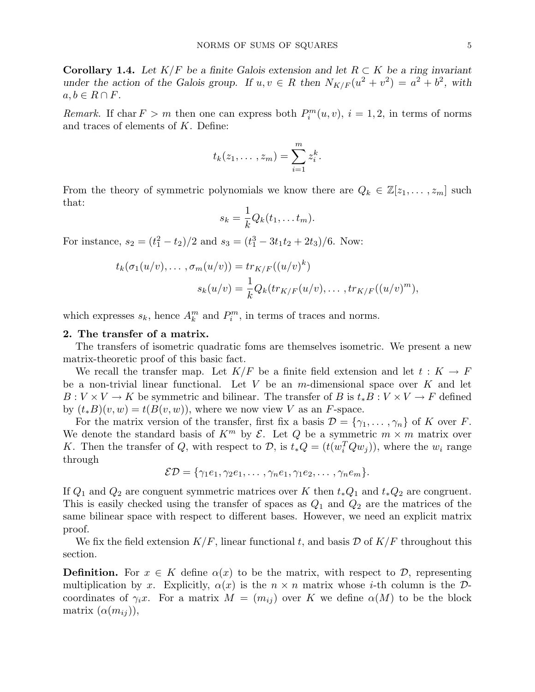Corollary 1.4. Let  $K/F$  be a finite Galois extension and let  $R \subset K$  be a ring invariant under the action of the Galois group. If  $u, v \in R$  then  $N_{K/F}(u^2 + v^2) = a^2 + b^2$ , with  $a, b \in R \cap F$ .

Remark. If char  $F > m$  then one can express both  $P_i^m(u, v)$ ,  $i = 1, 2$ , in terms of norms and traces of elements of K. Define:

$$
t_k(z_1,\ldots,z_m)=\sum_{i=1}^m z_i^k.
$$

From the theory of symmetric polynomials we know there are  $Q_k \in \mathbb{Z}[z_1, \ldots, z_m]$  such that:

$$
s_k = \frac{1}{k} Q_k(t_1, \dots t_m).
$$

For instance,  $s_2 = (t_1^2 - t_2)/2$  and  $s_3 = (t_1^3 - 3t_1t_2 + 2t_3)/6$ . Now:

$$
t_k(\sigma_1(u/v),\ldots,\sigma_m(u/v)) = tr_{K/F}((u/v)^k)
$$

$$
s_k(u/v) = \frac{1}{k}Q_k(tr_{K/F}(u/v),\ldots,tr_{K/F}((u/v)^m),
$$

which expresses  $s_k$ , hence  $A_k^m$  and  $P_i^m$ , in terms of traces and norms.

## 2. The transfer of a matrix.

The transfers of isometric quadratic foms are themselves isometric. We present a new matrix-theoretic proof of this basic fact.

We recall the transfer map. Let  $K/F$  be a finite field extension and let  $t : K \to F$ be a non-trivial linear functional. Let  $V$  be an  $m$ -dimensional space over  $K$  and let  $B: V \times V \to K$  be symmetric and bilinear. The transfer of B is  $t_* B: V \times V \to F$  defined by  $(t_*B)(v, w) = t(B(v, w))$ , where we now view V as an F-space.

For the matrix version of the transfer, first fix a basis  $\mathcal{D} = \{\gamma_1, \ldots, \gamma_n\}$  of K over F. We denote the standard basis of  $K^m$  by  $\mathcal{E}$ . Let Q be a symmetric  $m \times m$  matrix over K. Then the transfer of Q, with respect to  $\mathcal{D}$ , is  $t_*Q = (t(w_i^T Q w_j))$ , where the  $w_i$  range through

$$
\mathcal{ED} = \{\gamma_1e_1, \gamma_2e_1, \ldots, \gamma_ne_1, \gamma_1e_2, \ldots, \gamma_ne_m\}.
$$

If  $Q_1$  and  $Q_2$  are conguent symmetric matrices over K then  $t_*Q_1$  and  $t_*Q_2$  are congruent. This is easily checked using the transfer of spaces as  $Q_1$  and  $Q_2$  are the matrices of the same bilinear space with respect to different bases. However, we need an explicit matrix proof.

We fix the field extension  $K/F$ , linear functional t, and basis  $D$  of  $K/F$  throughout this section.

**Definition.** For  $x \in K$  define  $\alpha(x)$  to be the matrix, with respect to D, representing multiplication by x. Explicitly,  $\alpha(x)$  is the  $n \times n$  matrix whose *i*-th column is the Dcoordinates of  $\gamma_i x$ . For a matrix  $M = (m_{ij})$  over K we define  $\alpha(M)$  to be the block matrix  $(\alpha(m_{ij})),$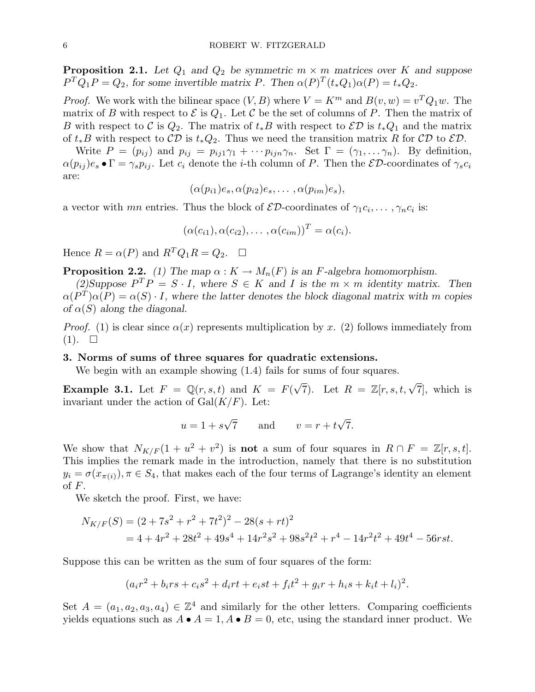**Proposition 2.1.** Let  $Q_1$  and  $Q_2$  be symmetric  $m \times m$  matrices over K and suppose  $P^{T}Q_{1}P = Q_{2}$ , for some invertible matrix P. Then  $\alpha(P)^{T}(t_{*}Q_{1})\alpha(P) = t_{*}Q_{2}$ .

*Proof.* We work with the bilinear space  $(V, B)$  where  $V = K^m$  and  $B(v, w) = v^T Q_1 w$ . The matrix of B with respect to  $\mathcal E$  is  $Q_1$ . Let C be the set of columns of P. Then the matrix of B with respect to C is  $Q_2$ . The matrix of  $t_*B$  with respect to  $\mathcal{ED}$  is  $t_*Q_1$  and the matrix of  $t_*B$  with respect to  $\mathcal{CD}$  is  $t_*Q_2$ . Thus we need the transition matrix R for  $\mathcal{CD}$  to  $\mathcal{ED}$ .

Write  $P = (p_{ij})$  and  $p_{ij} = p_{ij1}\gamma_1 + \cdots p_{ijn}\gamma_n$ . Set  $\Gamma = (\gamma_1, \ldots \gamma_n)$ . By definition,  $\alpha(p_{ij})e_s \bullet \Gamma = \gamma_s p_{ij}$ . Let  $c_i$  denote the *i*-th column of P. Then the  $\mathcal{ED}$ -coordinates of  $\gamma_s c_i$ are:

$$
(\alpha(p_{i1})e_s, \alpha(p_{i2})e_s, \ldots, \alpha(p_{im})e_s),
$$

a vector with mn entries. Thus the block of  $\mathcal{ED}$ -coordinates of  $\gamma_1 c_i, \ldots, \gamma_n c_i$  is:

$$
(\alpha(c_{i1}), \alpha(c_{i2}), \ldots, \alpha(c_{im}))^T = \alpha(c_i).
$$

Hence  $R = \alpha(P)$  and  $R^T Q_1 R = Q_2$ .  $\Box$ 

**Proposition 2.2.** (1) The map  $\alpha: K \to M_n(F)$  is an F-algebra homomorphism.

(2) Suppose  $P^T P = S \cdot I$ , where  $S \in K$  and I is the  $m \times m$  identity matrix. Then  $\alpha(P^T)\alpha(P) = \alpha(S) \cdot I$ , where the latter denotes the block diagonal matrix with m copies of  $\alpha(S)$  along the diagonal.

*Proof.* (1) is clear since  $\alpha(x)$  represents multiplication by x. (2) follows immediately from  $(1). \square$ 

#### 3. Norms of sums of three squares for quadratic extensions.

We begin with an example showing  $(1.4)$  fails for sums of four squares.

**Example 3.1.** Let  $F = \mathbb{Q}(r, s, t)$  and  $K = F(r)$  $\sqrt{7}$ ). Let  $R = \mathbb{Z}[r, s, t, \sqrt{7}]$ , which is invariant under the action of  $Gal(K/F)$ . Let:

$$
u = 1 + s\sqrt{7} \qquad \text{and} \qquad v = r + t\sqrt{7}.
$$

We show that  $N_{K/F}(1 + u^2 + v^2)$  is **not** a sum of four squares in  $R \cap F = \mathbb{Z}[r, s, t].$ This implies the remark made in the introduction, namely that there is no substitution  $y_i = \sigma(x_{\pi(i)})$ ,  $\pi \in S_4$ , that makes each of the four terms of Lagrange's identity an element of F.

We sketch the proof. First, we have:

$$
N_{K/F}(S) = (2 + 7s2 + r2 + 7t2)2 - 28(s + rt)2
$$
  
= 4 + 4r<sup>2</sup> + 28t<sup>2</sup> + 49s<sup>4</sup> + 14r<sup>2</sup>s<sup>2</sup> + 98s<sup>2</sup>t<sup>2</sup> + r<sup>4</sup> - 14r<sup>2</sup>t<sup>2</sup> + 49t<sup>4</sup> - 56rst.

Suppose this can be written as the sum of four squares of the form:

$$
(a_i r^2 + b_i rs + c_i s^2 + d_i rt + e_i st + f_i t^2 + g_i r + h_i s + k_i t + l_i)^2.
$$

Set  $A = (a_1, a_2, a_3, a_4) \in \mathbb{Z}^4$  and similarly for the other letters. Comparing coefficients yields equations such as  $A \bullet A = 1$ ,  $A \bullet B = 0$ , etc, using the standard inner product. We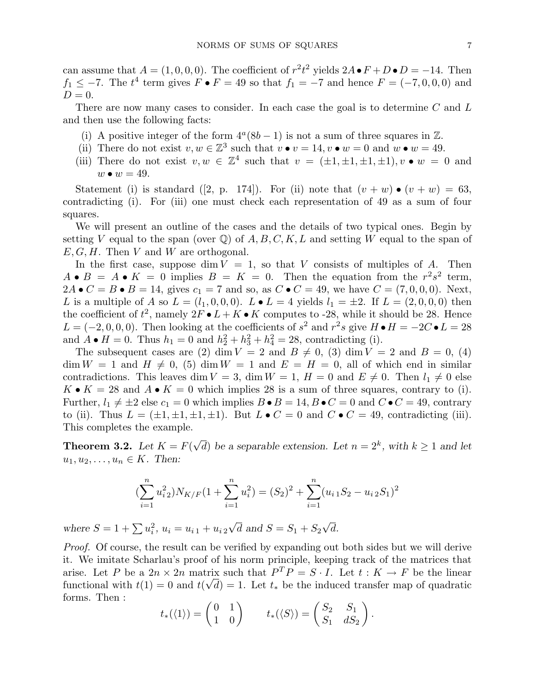can assume that  $A = (1, 0, 0, 0)$ . The coefficient of  $r^2t^2$  yields  $2A \bullet F + D \bullet D = -14$ . Then  $f_1 \leq -7$ . The  $t^4$  term gives  $F \bullet F = 49$  so that  $f_1 = -7$  and hence  $F = (-7, 0, 0, 0)$  and  $D=0.$ 

There are now many cases to consider. In each case the goal is to determine  $C$  and  $L$ and then use the following facts:

- (i) A positive integer of the form  $4^a(8b-1)$  is not a sum of three squares in  $\mathbb{Z}$ .
- (ii) There do not exist  $v, w \in \mathbb{Z}^3$  such that  $v \bullet v = 14, v \bullet w = 0$  and  $w \bullet w = 49$ .
- (iii) There do not exist  $v, w \in \mathbb{Z}^4$  such that  $v = (\pm 1, \pm 1, \pm 1, \pm 1), v \bullet w = 0$  and  $w \bullet w = 49.$

Statement (i) is standard ([2, p. 174]). For (ii) note that  $(v + w) \bullet (v + w) = 63$ , contradicting (i). For (iii) one must check each representation of 49 as a sum of four squares.

We will present an outline of the cases and the details of two typical ones. Begin by setting V equal to the span (over  $\mathbb Q$ ) of  $A, B, C, K, L$  and setting W equal to the span of  $E, G, H$ . Then V and W are orthogonal.

In the first case, suppose dim  $V = 1$ , so that V consists of multiples of A. Then  $A \bullet B = A \bullet K = 0$  implies  $B = K = 0$ . Then the equation from the  $r^2s^2$  term,  $2A \bullet C = B \bullet B = 14$ , gives  $c_1 = 7$  and so, as  $C \bullet C = 49$ , we have  $C = (7, 0, 0, 0)$ . Next, L is a multiple of A so  $L = (l_1, 0, 0, 0)$ .  $L \bullet L = 4$  yields  $l_1 = \pm 2$ . If  $L = (2, 0, 0, 0)$  then the coefficient of  $t^2$ , namely  $2F \bullet L + K \bullet K$  computes to -28, while it should be 28. Hence  $L = (-2, 0, 0, 0)$ . Then looking at the coefficients of  $s^2$  and  $r^2s$  give  $H \bullet H = -2C \bullet L = 28$ and  $A \bullet H = 0$ . Thus  $h_1 = 0$  and  $h_2^2 + h_3^2 + h_4^2 = 28$ , contradicting (i).

The subsequent cases are (2) dim  $V = 2$  and  $B \neq 0$ , (3) dim  $V = 2$  and  $B = 0$ , (4)  $\dim W = 1$  and  $H \neq 0$ , (5)  $\dim W = 1$  and  $E = H = 0$ , all of which end in similar contradictions. This leaves dim  $V = 3$ , dim  $W = 1$ ,  $H = 0$  and  $E \neq 0$ . Then  $l_1 \neq 0$  else  $K \bullet K = 28$  and  $A \bullet K = 0$  which implies 28 is a sum of three squares, contrary to (i). Further,  $l_1 \neq \pm 2$  else  $c_1 = 0$  which implies  $B \bullet B = 14$ ,  $B \bullet C = 0$  and  $C \bullet C = 49$ , contrary to (ii). Thus  $L = (\pm 1, \pm 1, \pm 1, \pm 1)$ . But  $L \bullet C = 0$  and  $C \bullet C = 49$ , contradicting (iii). This completes the example.

**Theorem 3.2.** Let  $K = F($ √  $\overline{d}$ ) be a separable extension. Let  $n = 2<sup>k</sup>$ , with  $k \ge 1$  and let  $u_1, u_2, \ldots, u_n \in K$ . Then:

$$
\left(\sum_{i=1}^{n} u_{i2}^2\right) N_{K/F} (1 + \sum_{i=1}^{n} u_i^2) = (S_2)^2 + \sum_{i=1}^{n} (u_{i1} S_2 - u_{i2} S_1)^2
$$

where  $S = 1 + \sum u_i^2$ ,  $u_i = u_{i1} + u_{i2}$ √ d and  $S = S_1 + S_2$ √ d.

Proof. Of course, the result can be verified by expanding out both sides but we will derive it. We imitate Scharlau's proof of his norm principle, keeping track of the matrices that arise. Let P be a  $2n \times 2n$  matrix such that  $P^T P = S \cdot I$ . Let  $t : K \to F$  be the linear functional with  $t(1) = 0$  and  $t(\sqrt{d}) = 1$ . Let  $t_*$  be the induced transfer map of quadratic forms. Then :  $\mathbf{r}$ 

$$
t_*({1}) = \begin{pmatrix} 0 & 1 \\ 1 & 0 \end{pmatrix}
$$
  $t_*({\langle S \rangle}) = \begin{pmatrix} S_2 & S_1 \\ S_1 & dS_2 \end{pmatrix}.$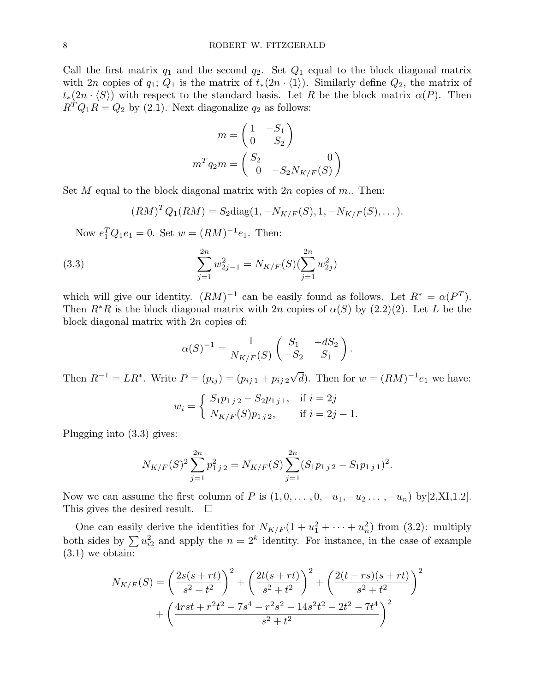Call the first matrix  $q_1$  and the second  $q_2$ . Set  $Q_1$  equal to the block diagonal matrix with 2n copies of  $q_1; Q_1$  is the matrix of  $t_*(2n \cdot \langle 1 \rangle)$ . Similarly define  $Q_2$ , the matrix of  $t_*(2n \cdot \langle S \rangle)$  with respect to the standard basis. Let R be the block matrix  $\alpha(P)$ . Then  $R^TQ_1R = Q_2$  by (2.1). Next diagonalize  $q_2$  as follows:

$$
m = \begin{pmatrix} 1 & -S_1 \\ 0 & S_2 \end{pmatrix}
$$

$$
m^T q_2 m = \begin{pmatrix} S_2 & 0 \\ 0 & -S_2 N_{K/F}(S) \end{pmatrix}
$$

Set M equal to the block diagonal matrix with  $2n$  copies of m.. Then:

 $(RM)^T Q_1(RM) = S_2 \text{diag}(1, -N_{K/F}(S), 1, -N_{K/F}(S), \dots).$ 

Now  $e_1^T Q_1 e_1 = 0$ . Set  $w = (RM)^{-1} e_1$ . Then:

(3.3) 
$$
\sum_{j=1}^{2n} w_{2j-1}^2 = N_{K/F}(S)(\sum_{j=1}^{2n} w_{2j}^2)
$$

which will give our identity.  $(RM)^{-1}$  can be easily found as follows. Let  $R^* = \alpha(P^T)$ . Then  $R^*R$  is the block diagonal matrix with 2n copies of  $\alpha(S)$  by (2.2)(2). Let L be the block diagonal matrix with 2n copies of:

$$
\alpha(S)^{-1} = \frac{1}{N_{K/F}(S)} \begin{pmatrix} S_1 & -dS_2 \\ -S_2 & S_1 \end{pmatrix}.
$$

Then  $R^{-1} = LR^*$ . Write  $P = (p_{ij}) = (p_{ij 1} + p_{ij 2})$ √  $\overline{d}$ ). Then for  $w = (RM)^{-1}e_1$  we have:

$$
w_i = \begin{cases} S_1 p_{1\,j\,2} - S_2 p_{1\,j\,1}, & \text{if } i = 2j \\ N_{K/F}(S) p_{1\,j\,2}, & \text{if } i = 2j - 1. \end{cases}
$$

Plugging into (3.3) gives:

$$
N_{K/F}(S)^{2} \sum_{j=1}^{2n} p_{1j2}^{2} = N_{K/F}(S) \sum_{j=1}^{2n} (S_{1}p_{1j2} - S_{1}p_{1j1})^{2}.
$$

Now we can assume the first column of P is  $(1, 0, \ldots, 0, -u_1, -u_2, \ldots, -u_n)$  by [2,XI,1.2]. This gives the desired result.  $\square$ 

One can easily derive the identities for  $N_{K/F}(1 + u_1^2 + \cdots + u_n^2)$  from (3.2): multiply both sides by  $\sum u_{i2}^2$  and apply the  $n = 2^k$  identity. For instance, in the case of example (3.1) we obtain:

$$
N_{K/F}(S) = \left(\frac{2s(s+rt)}{s^2+t^2}\right)^2 + \left(\frac{2t(s+rt)}{s^2+t^2}\right)^2 + \left(\frac{2(t-rs)(s+rt)}{s^2+t^2}\right)^2 + \left(\frac{4rst + r^2t^2 - 7s^4 - r^2s^2 - 14s^2t^2 - 2t^2 - 7t^4}{s^2+t^2}\right)^2
$$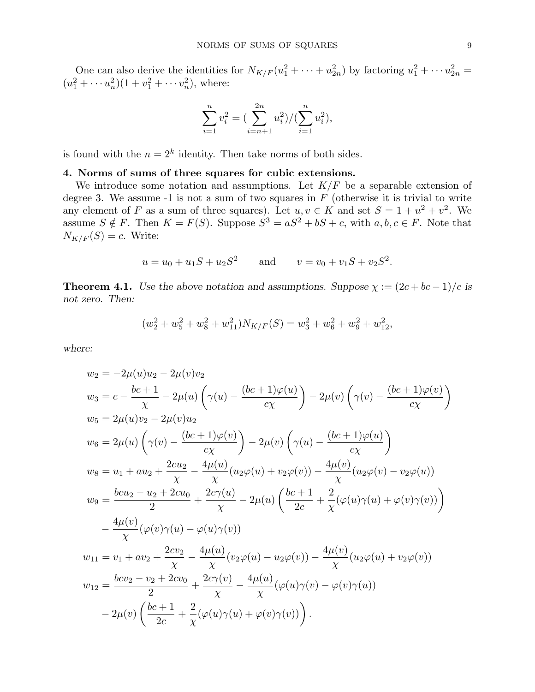One can also derive the identities for  $N_{K/F}(u_1^2 + \cdots + u_{2n}^2)$  by factoring  $u_1^2 + \cdots + u_{2n}^2 =$  $(u_1^2 + \cdots + u_n^2)(1 + v_1^2 + \cdots + v_n^2)$ , where:

$$
\sum_{i=1}^{n} v_i^2 = \left(\sum_{i=n+1}^{2n} u_i^2\right) / \left(\sum_{i=1}^{n} u_i^2\right),
$$

is found with the  $n = 2<sup>k</sup>$  identity. Then take norms of both sides.

## 4. Norms of sums of three squares for cubic extensions.

We introduce some notation and assumptions. Let  $K/F$  be a separable extension of degree 3. We assume  $-1$  is not a sum of two squares in  $F$  (otherwise it is trivial to write any element of F as a sum of three squares). Let  $u, v \in K$  and set  $S = 1 + u^2 + v^2$ . We assume  $S \notin F$ . Then  $K = F(S)$ . Suppose  $S^3 = aS^2 + bS + c$ , with  $a, b, c \in F$ . Note that  $N_{K/F}(S) = c$ . Write:

$$
u = u_0 + u_1S + u_2S^2
$$
 and  $v = v_0 + v_1S + v_2S^2$ .

**Theorem 4.1.** Use the above notation and assumptions. Suppose  $\chi := (2c + bc - 1)/c$  is not zero. Then:

$$
(w_2^2 + w_5^2 + w_8^2 + w_{11}^2)N_{K/F}(S) = w_3^2 + w_6^2 + w_9^2 + w_{12}^2,
$$

where:

$$
w_2 = -2\mu(u)u_2 - 2\mu(v)v_2
$$
  
\n
$$
w_3 = c - \frac{bc + 1}{\chi} - 2\mu(u) \left(\gamma(u) - \frac{(bc + 1)\varphi(u)}{c\chi}\right) - 2\mu(v) \left(\gamma(v) - \frac{(bc + 1)\varphi(v)}{c\chi}\right)
$$
  
\n
$$
w_5 = 2\mu(u)v_2 - 2\mu(v)u_2
$$
  
\n
$$
w_6 = 2\mu(u) \left(\gamma(v) - \frac{(bc + 1)\varphi(v)}{c\chi}\right) - 2\mu(v) \left(\gamma(u) - \frac{(bc + 1)\varphi(u)}{c\chi}\right)
$$
  
\n
$$
w_8 = u_1 + au_2 + \frac{2cu_2}{\chi} - \frac{4\mu(u)}{\chi}(u_2\varphi(u) + v_2\varphi(v)) - \frac{4\mu(v)}{\chi}(u_2\varphi(v) - v_2\varphi(u))
$$
  
\n
$$
w_9 = \frac{bcu_2 - u_2 + 2cu_0}{2} + \frac{2c\gamma(u)}{\chi} - 2\mu(u) \left(\frac{bc + 1}{2c} + \frac{2}{\chi}(\varphi(u)\gamma(u) + \varphi(v)\gamma(v))\right)
$$
  
\n
$$
- \frac{4\mu(v)}{\chi}(\varphi(v)\gamma(u) - \varphi(u)\gamma(v))
$$
  
\n
$$
w_{11} = v_1 + av_2 + \frac{2cv_2}{\chi} - \frac{4\mu(u)}{\chi}(v_2\varphi(u) - u_2\varphi(v)) - \frac{4\mu(v)}{\chi}(u_2\varphi(u) + v_2\varphi(v))
$$
  
\n
$$
w_{12} = \frac{bcv_2 - v_2 + 2cv_0}{2} + \frac{2c\gamma(v)}{\chi} - \frac{4\mu(u)}{\chi}(\varphi(u)\gamma(v) - \varphi(v)\gamma(u))
$$
  
\n
$$
- 2\mu(v) \left(\frac{bc + 1}{2c} + \frac{2}{\chi}(\varphi(u)\gamma(u) + \varphi(v)\gamma(v))\right).
$$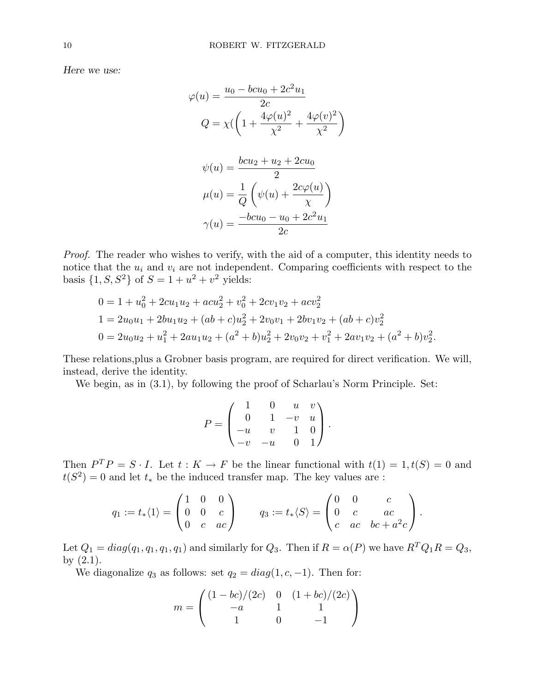Here we use:

$$
\varphi(u) = \frac{u_0 - bcu_0 + 2c^2u_1}{2c}
$$

$$
Q = \chi \left( \left( 1 + \frac{4\varphi(u)^2}{\chi^2} + \frac{4\varphi(v)^2}{\chi^2} \right) \right)
$$

$$
\psi(u) = \frac{bcu_2 + u_2 + 2cu_0}{2}
$$

$$
\mu(u) = \frac{1}{Q} \left( \psi(u) + \frac{2c\varphi(u)}{\chi} \right)
$$

$$
\gamma(u) = \frac{-bcu_0 - u_0 + 2c^2u_1}{2c}
$$

Proof. The reader who wishes to verify, with the aid of a computer, this identity needs to notice that the  $u_i$  and  $v_i$  are not independent. Comparing coefficients with respect to the basis  $\{1, S, S^2\}$  of  $S = 1 + u^2 + v^2$  yields:

$$
0 = 1 + u_0^2 + 2cu_1u_2 + acu_2^2 + v_0^2 + 2cv_1v_2 + acv_2^2
$$
  
\n
$$
1 = 2u_0u_1 + 2bu_1u_2 + (ab + c)u_2^2 + 2v_0v_1 + 2bv_1v_2 + (ab + c)v_2^2
$$
  
\n
$$
0 = 2u_0u_2 + u_1^2 + 2au_1u_2 + (a^2 + b)u_2^2 + 2v_0v_2 + v_1^2 + 2av_1v_2 + (a^2 + b)v_2^2.
$$

These relations,plus a Grobner basis program, are required for direct verification. We will, instead, derive the identity.

We begin, as in (3.1), by following the proof of Scharlau's Norm Principle. Set:

$$
P = \begin{pmatrix} 1 & 0 & u & v \\ 0 & 1 & -v & u \\ -u & v & 1 & 0 \\ -v & -u & 0 & 1 \end{pmatrix}.
$$

Then  $P^T P = S \cdot I$ . Let  $t : K \to F$  be the linear functional with  $t(1) = 1, t(S) = 0$  and  $t(S^2) = 0$  and let  $t_*$  be the induced transfer map. The key values are :

$$
q_1 := t_* \langle 1 \rangle = \begin{pmatrix} 1 & 0 & 0 \\ 0 & 0 & c \\ 0 & c & ac \end{pmatrix} \qquad q_3 := t_* \langle S \rangle = \begin{pmatrix} 0 & 0 & c \\ 0 & c & ac \\ c & ac & bc + a^2c \end{pmatrix}.
$$

Let  $Q_1 = diag(q_1, q_1, q_1, q_1)$  and similarly for  $Q_3$ . Then if  $R = \alpha(P)$  we have  $R^T Q_1 R = Q_3$ , by  $(2.1)$ .

We diagonalize  $q_3$  as follows: set  $q_2 = diag(1, c, -1)$ . Then for:

$$
m = \begin{pmatrix} (1 - bc)/(2c) & 0 & (1 + bc)/(2c) \\ -a & 1 & 1 \\ 1 & 0 & -1 \end{pmatrix}
$$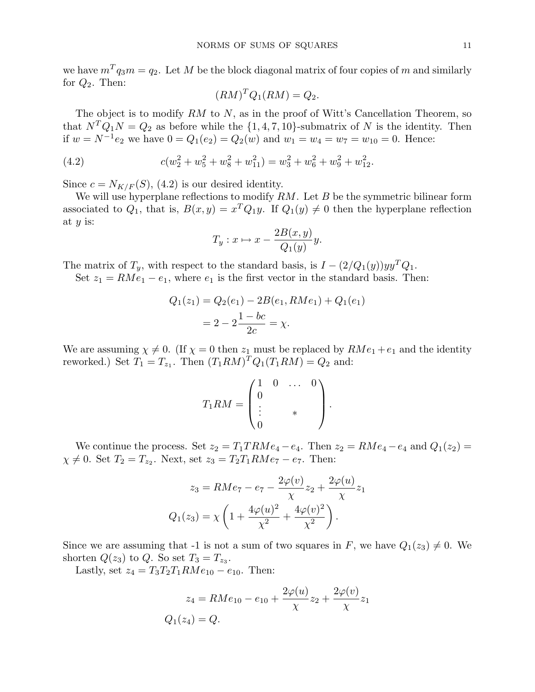we have  $m^T q_3 m = q_2$ . Let M be the block diagonal matrix of four copies of m and similarly for  $Q_2$ . Then:

$$
(RM)^T Q_1 (RM) = Q_2.
$$

The object is to modify  $RM$  to  $N$ , as in the proof of Witt's Cancellation Theorem, so that  $N^TQ_1N = Q_2$  as before while the  $\{1, 4, 7, 10\}$ -submatrix of N is the identity. Then if  $w = N^{-1}e_2$  we have  $0 = Q_1(e_2) = Q_2(w)$  and  $w_1 = w_4 = w_7 = w_{10} = 0$ . Hence:

(4.2) 
$$
c(w_2^2 + w_5^2 + w_8^2 + w_{11}^2) = w_3^2 + w_6^2 + w_9^2 + w_{12}^2.
$$

Since  $c = N_{K/F}(S)$ , (4.2) is our desired identity.

We will use hyperplane reflections to modify  $RM$ . Let  $B$  be the symmetric bilinear form associated to  $Q_1$ , that is,  $B(x,y) = x^T Q_1 y$ . If  $Q_1(y) \neq 0$  then the hyperplane reflection at  $y$  is:

$$
T_y: x \mapsto x - \frac{2B(x, y)}{Q_1(y)}y.
$$

The matrix of  $T_y$ , with respect to the standard basis, is  $I - (2/Q_1(y))yy^TQ_1$ .

Set  $z_1 = RMe_1 - e_1$ , where  $e_1$  is the first vector in the standard basis. Then:

$$
Q_1(z_1) = Q_2(e_1) - 2B(e_1, RMe_1) + Q_1(e_1)
$$
  
=  $2 - 2\frac{1 - bc}{2c} = \chi$ .

We are assuming  $\chi \neq 0$ . (If  $\chi = 0$  then  $z_1$  must be replaced by  $RMe_1 + e_1$  and the identity reworked.) Set  $T_1 = T_{z_1}$ . Then  $(T_1 RM)^T Q_1 (T_1 RM) = Q_2$  and:

$$
T_1RM = \begin{pmatrix} 1 & 0 & \dots & 0 \\ 0 & & & \\ \vdots & & * & \\ 0 & & & \end{pmatrix}.
$$

We continue the process. Set  $z_2 = T_1TRMe_4 - e_4$ . Then  $z_2 = RMe_4 - e_4$  and  $Q_1(z_2) =$  $\chi \neq 0$ . Set  $T_2 = T_{z_2}$ . Next, set  $z_3 = T_2T_1RMe_7 - e_7$ . Then:

$$
z_3 = RMe_7 - e_7 - \frac{2\varphi(v)}{\chi} z_2 + \frac{2\varphi(u)}{\chi} z_1
$$

$$
Q_1(z_3) = \chi \left( 1 + \frac{4\varphi(u)^2}{\chi^2} + \frac{4\varphi(v)^2}{\chi^2} \right).
$$

Since we are assuming that -1 is not a sum of two squares in F, we have  $Q_1(z_3) \neq 0$ . We shorten  $Q(z_3)$  to  $Q$ . So set  $T_3 = T_{z_3}$ .

Lastly, set  $z_4 = T_3T_2T_1RMe_{10} - e_{10}$ . Then:

$$
z_4 = RMe_{10} - e_{10} + \frac{2\varphi(u)}{\chi} z_2 + \frac{2\varphi(v)}{\chi} z_1
$$
  
 
$$
Q_1(z_4) = Q.
$$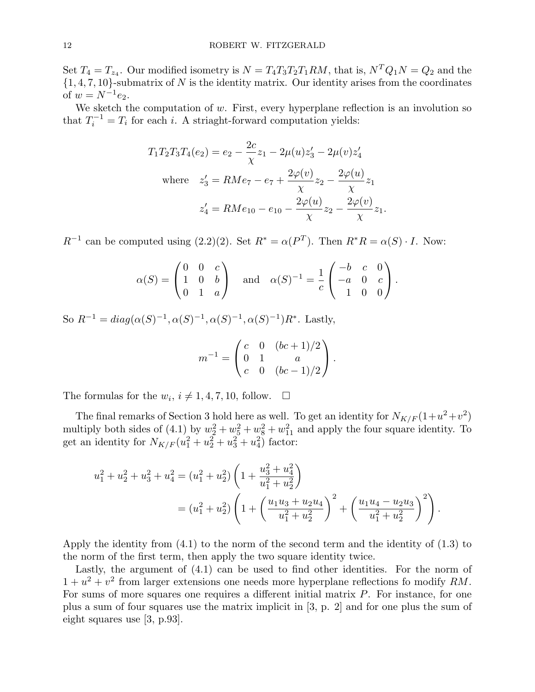Set  $T_4 = T_{z_4}$ . Our modified isometry is  $N = T_4T_3T_2T_1RM$ , that is,  $N^TQ_1N = Q_2$  and the  $\{1, 4, 7, 10\}$ -submatrix of N is the identity matrix. Our identity arises from the coordinates of  $w = N^{-1}e_2$ .

We sketch the computation of  $w$ . First, every hyperplane reflection is an involution so that  $T_i^{-1} = T_i$  for each i. A striaght-forward computation yields:

$$
T_1 T_2 T_3 T_4 (e_2) = e_2 - \frac{2c}{\chi} z_1 - 2\mu(u) z_3' - 2\mu(v) z_4'
$$
  
where  $z_3' = R M e_7 - e_7 + \frac{2\varphi(v)}{\chi} z_2 - \frac{2\varphi(u)}{\chi} z_1$   
 $z_4' = R M e_{10} - e_{10} - \frac{2\varphi(u)}{\chi} z_2 - \frac{2\varphi(v)}{\chi} z_1.$ 

 $R^{-1}$  can be computed using (2.2)(2). Set  $R^* = \alpha(P^T)$ . Then  $R^*R = \alpha(S) \cdot I$ . Now:

$$
\alpha(S) = \begin{pmatrix} 0 & 0 & c \\ 1 & 0 & b \\ 0 & 1 & a \end{pmatrix} \text{ and } \alpha(S)^{-1} = \frac{1}{c} \begin{pmatrix} -b & c & 0 \\ -a & 0 & c \\ 1 & 0 & 0 \end{pmatrix}.
$$

So  $R^{-1} = diag(\alpha(S)^{-1}, \alpha(S)^{-1}, \alpha(S)^{-1}, \alpha(S)^{-1})R^*$ . Lastly,

$$
m^{-1} = \begin{pmatrix} c & 0 & (bc+1)/2 \\ 0 & 1 & a \\ c & 0 & (bc-1)/2 \end{pmatrix}.
$$

The formulas for the  $w_i$ ,  $i \neq 1, 4, 7, 10$ , follow.  $\Box$ 

The final remarks of Section 3 hold here as well. To get an identity for  $N_{K/F}(1+u^2+v^2)$ multiply both sides of (4.1) by  $w_2^2 + w_5^2 + w_8^2 + w_{11}^2$  and apply the four square identity. To get an identity for  $N_{K/F}(u_1^2 + u_2^2 + u_3^2 + u_4^2)$  factor:

$$
u_1^2 + u_2^2 + u_3^2 + u_4^2 = (u_1^2 + u_2^2) \left( 1 + \frac{u_3^2 + u_4^2}{u_1^2 + u_2^2} \right)
$$
  
= 
$$
(u_1^2 + u_2^2) \left( 1 + \left( \frac{u_1 u_3 + u_2 u_4}{u_1^2 + u_2^2} \right)^2 + \left( \frac{u_1 u_4 - u_2 u_3}{u_1^2 + u_2^2} \right)^2 \right).
$$

Apply the identity from (4.1) to the norm of the second term and the identity of (1.3) to the norm of the first term, then apply the two square identity twice.

Lastly, the argument of (4.1) can be used to find other identities. For the norm of  $1 + u^2 + v^2$  from larger extensions one needs more hyperplane reflections fo modify RM. For sums of more squares one requires a different initial matrix  $P$ . For instance, for one plus a sum of four squares use the matrix implicit in [3, p. 2] and for one plus the sum of eight squares use [3, p.93].